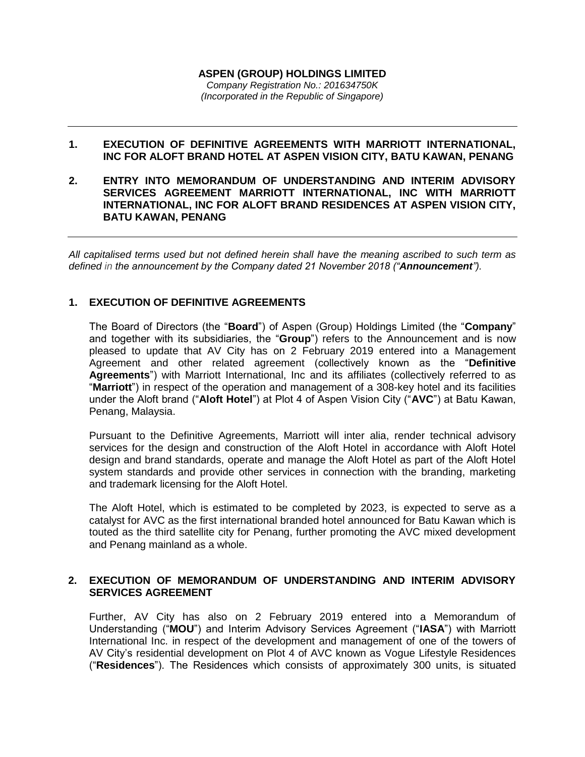#### **ASPEN (GROUP) HOLDINGS LIMITED** *Company Registration No.: 201634750K (Incorporated in the Republic of Singapore)*

## **1. EXECUTION OF DEFINITIVE AGREEMENTS WITH MARRIOTT INTERNATIONAL, INC FOR ALOFT BRAND HOTEL AT ASPEN VISION CITY, BATU KAWAN, PENANG**

**2. ENTRY INTO MEMORANDUM OF UNDERSTANDING AND INTERIM ADVISORY SERVICES AGREEMENT MARRIOTT INTERNATIONAL, INC WITH MARRIOTT INTERNATIONAL, INC FOR ALOFT BRAND RESIDENCES AT ASPEN VISION CITY, BATU KAWAN, PENANG**

*All capitalised terms used but not defined herein shall have the meaning ascribed to such term as defined in the announcement by the Company dated 21 November 2018 ("Announcement").*

# **1. EXECUTION OF DEFINITIVE AGREEMENTS**

The Board of Directors (the "**Board**") of Aspen (Group) Holdings Limited (the "**Company**" and together with its subsidiaries, the "**Group**") refers to the Announcement and is now pleased to update that AV City has on 2 February 2019 entered into a Management Agreement and other related agreement (collectively known as the "**Definitive Agreements**") with Marriott International, Inc and its affiliates (collectively referred to as "**Marriott**") in respect of the operation and management of a 308-key hotel and its facilities under the Aloft brand ("**Aloft Hotel**") at Plot 4 of Aspen Vision City ("**AVC**") at Batu Kawan, Penang, Malaysia.

Pursuant to the Definitive Agreements, Marriott will inter alia, render technical advisory services for the design and construction of the Aloft Hotel in accordance with Aloft Hotel design and brand standards, operate and manage the Aloft Hotel as part of the Aloft Hotel system standards and provide other services in connection with the branding, marketing and trademark licensing for the Aloft Hotel.

The Aloft Hotel, which is estimated to be completed by 2023, is expected to serve as a catalyst for AVC as the first international branded hotel announced for Batu Kawan which is touted as the third satellite city for Penang, further promoting the AVC mixed development and Penang mainland as a whole.

### **2. EXECUTION OF MEMORANDUM OF UNDERSTANDING AND INTERIM ADVISORY SERVICES AGREEMENT**

Further, AV City has also on 2 February 2019 entered into a Memorandum of Understanding ("**MOU**") and Interim Advisory Services Agreement ("**IASA**") with Marriott International Inc. in respect of the development and management of one of the towers of AV City's residential development on Plot 4 of AVC known as Vogue Lifestyle Residences ("**Residences**"). The Residences which consists of approximately 300 units, is situated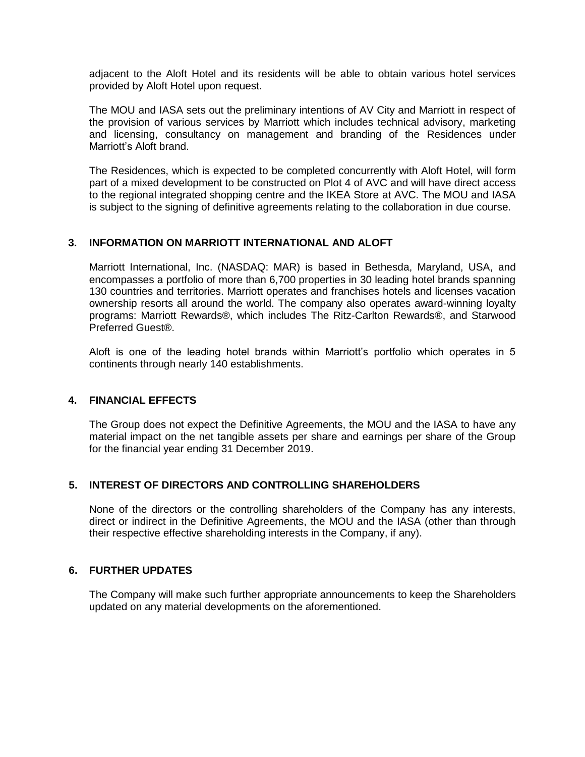adjacent to the Aloft Hotel and its residents will be able to obtain various hotel services provided by Aloft Hotel upon request.

The MOU and IASA sets out the preliminary intentions of AV City and Marriott in respect of the provision of various services by Marriott which includes technical advisory, marketing and licensing, consultancy on management and branding of the Residences under Marriott's Aloft brand.

The Residences, which is expected to be completed concurrently with Aloft Hotel, will form part of a mixed development to be constructed on Plot 4 of AVC and will have direct access to the regional integrated shopping centre and the IKEA Store at AVC. The MOU and IASA is subject to the signing of definitive agreements relating to the collaboration in due course.

### **3. INFORMATION ON MARRIOTT INTERNATIONAL AND ALOFT**

Marriott International, Inc. (NASDAQ: MAR) is based in Bethesda, Maryland, USA, and encompasses a portfolio of more than 6,700 properties in 30 leading hotel brands spanning 130 countries and territories. Marriott operates and franchises hotels and licenses vacation ownership resorts all around the world. The company also operates award-winning loyalty programs: Marriott Rewards®, which includes The Ritz-Carlton Rewards®, and Starwood Preferred Guest®.

Aloft is one of the leading hotel brands within Marriott's portfolio which operates in 5 continents through nearly 140 establishments.

# **4. FINANCIAL EFFECTS**

The Group does not expect the Definitive Agreements, the MOU and the IASA to have any material impact on the net tangible assets per share and earnings per share of the Group for the financial year ending 31 December 2019.

### **5. INTEREST OF DIRECTORS AND CONTROLLING SHAREHOLDERS**

None of the directors or the controlling shareholders of the Company has any interests, direct or indirect in the Definitive Agreements, the MOU and the IASA (other than through their respective effective shareholding interests in the Company, if any).

### **6. FURTHER UPDATES**

The Company will make such further appropriate announcements to keep the Shareholders updated on any material developments on the aforementioned.